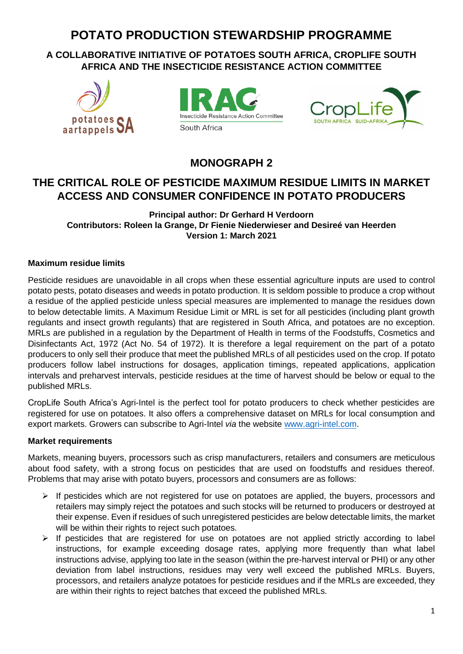# **POTATO PRODUCTION STEWARDSHIP PROGRAMME**

# **A COLLABORATIVE INITIATIVE OF POTATOES SOUTH AFRICA, CROPLIFE SOUTH AFRICA AND THE INSECTICIDE RESISTANCE ACTION COMMITTEE**







# **MONOGRAPH 2**

# **THE CRITICAL ROLE OF PESTICIDE MAXIMUM RESIDUE LIMITS IN MARKET ACCESS AND CONSUMER CONFIDENCE IN POTATO PRODUCERS**

### **Principal author: Dr Gerhard H Verdoorn Contributors: Roleen la Grange, Dr Fienie Niederwieser and Desireé van Heerden Version 1: March 2021**

#### **Maximum residue limits**

Pesticide residues are unavoidable in all crops when these essential agriculture inputs are used to control potato pests, potato diseases and weeds in potato production. It is seldom possible to produce a crop without a residue of the applied pesticide unless special measures are implemented to manage the residues down to below detectable limits. A Maximum Residue Limit or MRL is set for all pesticides (including plant growth regulants and insect growth regulants) that are registered in South Africa, and potatoes are no exception. MRLs are published in a regulation by the Department of Health in terms of the Foodstuffs, Cosmetics and Disinfectants Act, 1972 (Act No. 54 of 1972). It is therefore a legal requirement on the part of a potato producers to only sell their produce that meet the published MRLs of all pesticides used on the crop. If potato producers follow label instructions for dosages, application timings, repeated applications, application intervals and preharvest intervals, pesticide residues at the time of harvest should be below or equal to the published MRLs.

CropLife South Africa's Agri-Intel is the perfect tool for potato producers to check whether pesticides are registered for use on potatoes. It also offers a comprehensive dataset on MRLs for local consumption and export markets. Growers can subscribe to Agri-Intel *via* the website [www.agri-intel.com.](http://www.agri-intel.com/)

#### **Market requirements**

Markets, meaning buyers, processors such as crisp manufacturers, retailers and consumers are meticulous about food safety, with a strong focus on pesticides that are used on foodstuffs and residues thereof. Problems that may arise with potato buyers, processors and consumers are as follows:

- ➢ If pesticides which are not registered for use on potatoes are applied, the buyers, processors and retailers may simply reject the potatoes and such stocks will be returned to producers or destroyed at their expense. Even if residues of such unregistered pesticides are below detectable limits, the market will be within their rights to reject such potatoes.
- ➢ If pesticides that are registered for use on potatoes are not applied strictly according to label instructions, for example exceeding dosage rates, applying more frequently than what label instructions advise, applying too late in the season (within the pre-harvest interval or PHI) or any other deviation from label instructions, residues may very well exceed the published MRLs. Buyers, processors, and retailers analyze potatoes for pesticide residues and if the MRLs are exceeded, they are within their rights to reject batches that exceed the published MRLs.